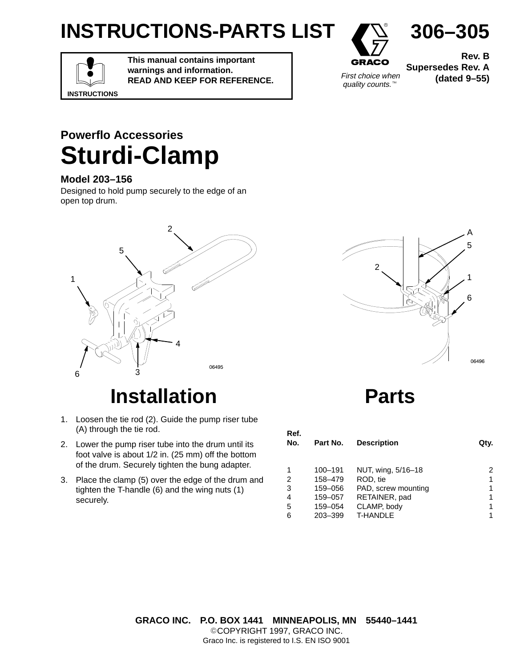## **INSTRUCTIONS-PARTS LIST**



quality counts.<sup>™</sup>

**Rev. B Supersedes Rev. A** First choice when **(dated 9–55)** 

**306–305**

# **INSTRUCTIONS**

**This manual contains important warnings and information. READ AND KEEP FOR REFERENCE.**

#### **Powerflo Accessories Sturdi-Clamp**

#### **Model 203–156**

Designed to hold pump securely to the edge of an open top drum.



### **Installation**

- 1. Loosen the tie rod (2). Guide the pump riser tube (A) through the tie rod.
- 2. Lower the pump riser tube into the drum until its foot valve is about 1/2 in. (25 mm) off the bottom of the drum. Securely tighten the bung adapter.
- 3. Place the clamp (5) over the edge of the drum and tighten the T-handle (6) and the wing nuts (1) securely.



**Parts**

| Ref.<br>No.    | Part No. | <b>Description</b>  | Qty. |
|----------------|----------|---------------------|------|
|                | 100-191  | NUT, wing, 5/16-18  | 2    |
| $\overline{2}$ | 158-479  | ROD, tie            | 1    |
| 3              | 159-056  | PAD, screw mounting |      |
| $\overline{4}$ | 159-057  | RETAINER, pad       |      |
| 5              | 159-054  | CLAMP, body         |      |
| 6              | 203-399  | <b>T-HANDLE</b>     |      |